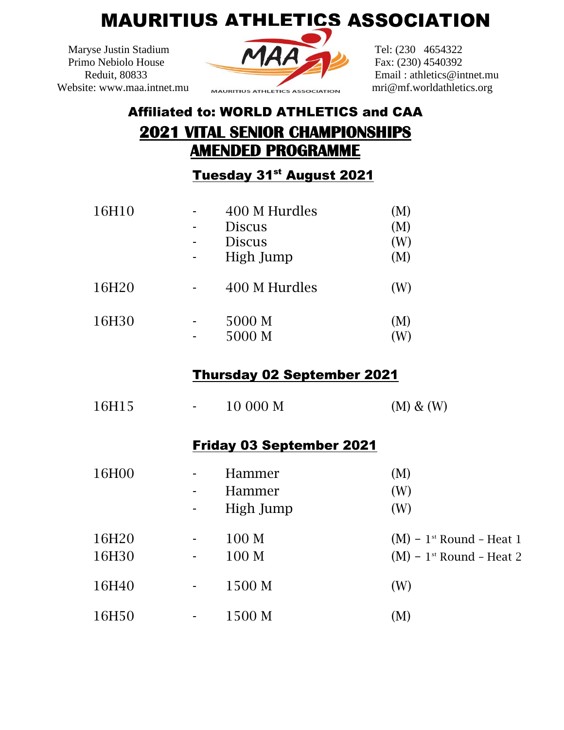## MAURITIUS ATHLETICS ASSOCIATION



## Affiliated to: WORLD ATHLETICS and CAA **2021 VITAL SENIOR CHAMPIONSHIPS AMENDED PROGRAMME**

Tuesday 31<sup>st</sup> August 2021

| 16H10 | 400 M Hurdles<br><b>Discus</b><br><b>Discus</b><br>High Jump | (M)<br>(M)<br>(W)<br>(M) |
|-------|--------------------------------------------------------------|--------------------------|
| 16H20 | 400 M Hurdles                                                | (W)                      |
| 16H30 | 5000 M<br>5000 M                                             | (M)                      |

## Thursday 02 September 2021

| 16H15          | 10 000 M                                                  | $(M)$ & $(W)$                                                                    |
|----------------|-----------------------------------------------------------|----------------------------------------------------------------------------------|
|                | <b>Friday 03 September 2021</b>                           |                                                                                  |
| 16H00          | Hammer<br>$\overline{\phantom{a}}$<br>Hammer<br>High Jump | (M)<br>(W)<br>(W)                                                                |
| 16H20<br>16H30 | 100 M<br>$\blacksquare$<br>100 <sub>M</sub><br>$\sim$ $-$ | $(M)$ – 1 <sup>st</sup> Round – Heat 1<br>$(M)$ – 1 <sup>st</sup> Round – Heat 2 |
| 16H40          | 1500 M<br>$\overline{\phantom{a}}$                        | (W)                                                                              |
| 16H50          | 1500 M                                                    | (M)                                                                              |